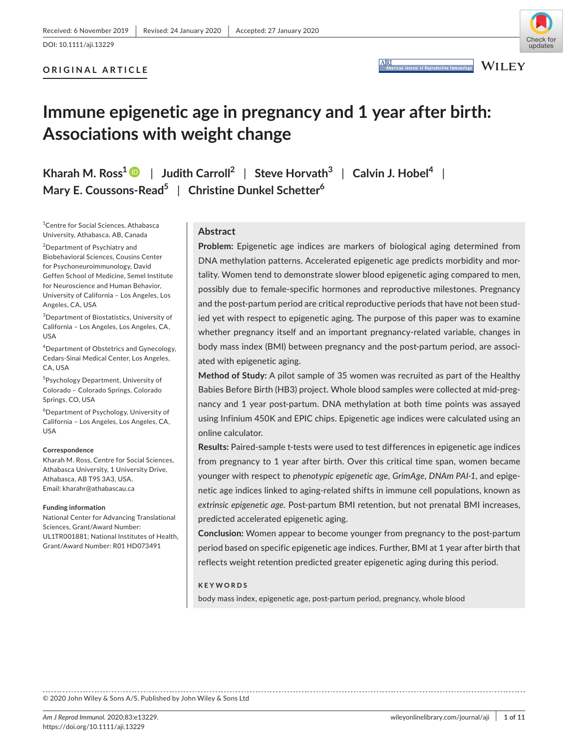**ARI** 

# **ORIGINAL ARTICLE**



**WILEY** productive Immu

# **Immune epigenetic age in pregnancy and 1 year after birth: Associations with weight change**

| Kharah M. Ross <sup>1</sup> $\bullet$   Judith Carroll <sup>2</sup>   Steve Horvath <sup>3</sup>   Calvin J. Hobel <sup>4</sup> |  |  |  |  |  |  |
|---------------------------------------------------------------------------------------------------------------------------------|--|--|--|--|--|--|
| Mary E. Coussons-Read <sup>5</sup>   Christine Dunkel Schetter <sup>6</sup>                                                     |  |  |  |  |  |  |

1 Centre for Social Sciences, Athabasca University, Athabasca, AB, Canada

2 Department of Psychiatry and Biobehavioral Sciences, Cousins Center for Psychoneuroimmunology, David Geffen School of Medicine, Semel Institute for Neuroscience and Human Behavior, University of California – Los Angeles, Los Angeles, CA, USA

3 Department of Biostatistics, University of California – Los Angeles, Los Angeles, CA, USA

4 Department of Obstetrics and Gynecology, Cedars-Sinai Medical Center, Los Angeles, CA, USA

5 Psychology Department, University of Colorado – Colorado Springs, Colorado Springs, CO, USA

6 Department of Psychology, University of California – Los Angeles, Los Angeles, CA, USA

#### **Correspondence**

Kharah M. Ross, Centre for Social Sciences, Athabasca University, 1 University Drive, Athabasca, AB T9S 3A3, USA. Email: [kharahr@athabascau.ca](mailto:kharahr@athabascau.ca)

#### **Funding information**

National Center for Advancing Translational Sciences, Grant/Award Number: UL1TR001881; National Institutes of Health, Grant/Award Number: R01 HD073491

# **Abstract**

**Problem:** Epigenetic age indices are markers of biological aging determined from DNA methylation patterns. Accelerated epigenetic age predicts morbidity and mortality. Women tend to demonstrate slower blood epigenetic aging compared to men, possibly due to female-specific hormones and reproductive milestones. Pregnancy and the post-partum period are critical reproductive periods that have not been studied yet with respect to epigenetic aging. The purpose of this paper was to examine whether pregnancy itself and an important pregnancy-related variable, changes in body mass index (BMI) between pregnancy and the post-partum period, are associated with epigenetic aging.

**Method of Study:** A pilot sample of 35 women was recruited as part of the Healthy Babies Before Birth (HB3) project. Whole blood samples were collected at mid-pregnancy and 1 year post-partum. DNA methylation at both time points was assayed using Infinium 450K and EPIC chips. Epigenetic age indices were calculated using an online calculator.

**Results:** Paired-sample t-tests were used to test differences in epigenetic age indices from pregnancy to 1 year after birth. Over this critical time span, women became younger with respect to *phenotypic epigenetic age*, *GrimAge*, *DNAm PAI-1*, and epigenetic age indices linked to aging-related shifts in immune cell populations, known as *extrinsic epigenetic age*. Post-partum BMI retention, but not prenatal BMI increases, predicted accelerated epigenetic aging.

**Conclusion:** Women appear to become younger from pregnancy to the post-partum period based on specific epigenetic age indices. Further, BMI at 1 year after birth that reflects weight retention predicted greater epigenetic aging during this period.

#### **KEYWORDS**

body mass index, epigenetic age, post-partum period, pregnancy, whole blood

© 2020 John Wiley & Sons A/S. Published by John Wiley & Sons Ltd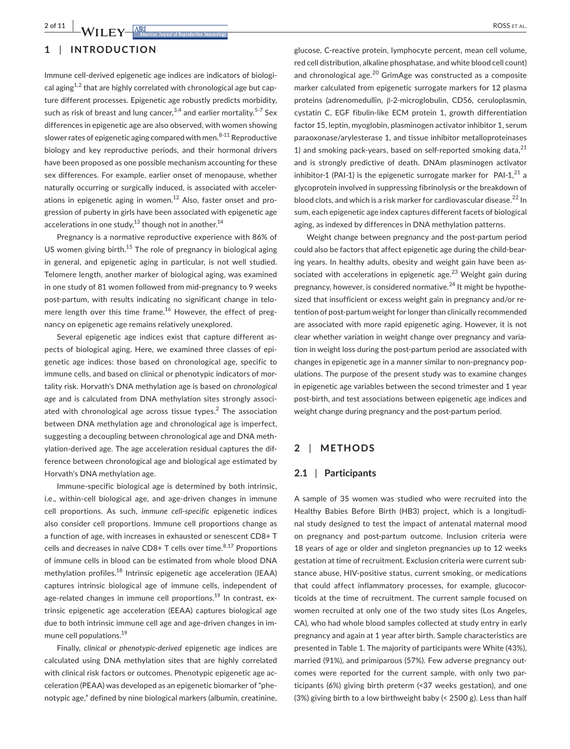Immune cell-derived epigenetic age indices are indicators of biological aging<sup>1,2</sup> that are highly correlated with chronological age but capture different processes. Epigenetic age robustly predicts morbidity, such as risk of breast and lung cancer,  $3,4$  and earlier mortality.<sup>5-7</sup> Sex differences in epigenetic age are also observed, with women showing slower rates of epigenetic aging compared with men. $8-11$  Reproductive biology and key reproductive periods, and their hormonal drivers have been proposed as one possible mechanism accounting for these sex differences. For example, earlier onset of menopause, whether naturally occurring or surgically induced, is associated with accelerations in epigenetic aging in women. $12$  Also, faster onset and progression of puberty in girls have been associated with epigenetic age accelerations in one study,<sup>13</sup> though not in another.<sup>14</sup>

Pregnancy is a normative reproductive experience with 86% of US women giving birth.<sup>15</sup> The role of pregnancy in biological aging in general, and epigenetic aging in particular, is not well studied. Telomere length, another marker of biological aging, was examined in one study of 81 women followed from mid-pregnancy to 9 weeks post-partum, with results indicating no significant change in telomere length over this time frame.<sup>16</sup> However, the effect of pregnancy on epigenetic age remains relatively unexplored.

Several epigenetic age indices exist that capture different aspects of biological aging. Here, we examined three classes of epigenetic age indices: those based on chronological age, specific to immune cells, and based on clinical or phenotypic indicators of mortality risk. Horvath's DNA methylation age is based on *chronological age* and is calculated from DNA methylation sites strongly associated with chronological age across tissue types. $2$  The association between DNA methylation age and chronological age is imperfect, suggesting a decoupling between chronological age and DNA methylation-derived age. The age acceleration residual captures the difference between chronological age and biological age estimated by Horvath's DNA methylation age.

Immune-specific biological age is determined by both intrinsic, i.e., within-cell biological age, and age-driven changes in immune cell proportions. As such, *immune cell-specific* epigenetic indices also consider cell proportions. Immune cell proportions change as a function of age, with increases in exhausted or senescent CD8+ T cells and decreases in naïve CD8+ T cells over time. $8.17$  Proportions of immune cells in blood can be estimated from whole blood DNA methylation profiles.<sup>18</sup> Intrinsic epigenetic age acceleration (IEAA) captures intrinsic biological age of immune cells, independent of age-related changes in immune cell proportions.<sup>19</sup> In contrast, extrinsic epigenetic age acceleration (EEAA) captures biological age due to both intrinsic immune cell age and age-driven changes in immune cell populations.<sup>19</sup>

Finally, *clinical or phenotypic-derived* epigenetic age indices are calculated using DNA methylation sites that are highly correlated with clinical risk factors or outcomes. Phenotypic epigenetic age acceleration (PEAA) was developed as an epigenetic biomarker of "phenotypic age," defined by nine biological markers (albumin, creatinine,

glucose, C-reactive protein, lymphocyte percent, mean cell volume, red cell distribution, alkaline phosphatase, and white blood cell count) and chronological age. $^{20}$  GrimAge was constructed as a composite marker calculated from epigenetic surrogate markers for 12 plasma proteins (adrenomedullin, β-2-microglobulin, CD56, ceruloplasmin, cystatin C, EGF fibulin-like ECM protein 1, growth differentiation factor 15, leptin, myoglobin, plasminogen activator inhibitor 1, serum paraoxonase/arylesterase 1, and tissue inhibitor metalloproteinases 1) and smoking pack-years, based on self-reported smoking data, $^{21}$ and is strongly predictive of death. DNAm plasminogen activator inhibitor-1 (PAI-1) is the epigenetic surrogate marker for  $PAI-1$ ,  $21$  a glycoprotein involved in suppressing fibrinolysis or the breakdown of blood clots, and which is a risk marker for cardiovascular disease.<sup>22</sup> In sum, each epigenetic age index captures different facets of biological aging, as indexed by differences in DNA methylation patterns.

Weight change between pregnancy and the post-partum period could also be factors that affect epigenetic age during the child-bearing years. In healthy adults, obesity and weight gain have been associated with accelerations in epigenetic age. $^{23}$  Weight gain during pregnancy, however, is considered normative.<sup>24</sup> It might be hypothesized that insufficient or excess weight gain in pregnancy and/or retention of post-partum weight for longer than clinically recommended are associated with more rapid epigenetic aging. However, it is not clear whether variation in weight change over pregnancy and variation in weight loss during the post-partum period are associated with changes in epigenetic age in a manner similar to non-pregnancy populations. The purpose of the present study was to examine changes in epigenetic age variables between the second trimester and 1 year post-birth, and test associations between epigenetic age indices and weight change during pregnancy and the post-partum period.

#### **2** | **METHODS**

#### **2.1** | **Participants**

A sample of 35 women was studied who were recruited into the Healthy Babies Before Birth (HB3) project, which is a longitudinal study designed to test the impact of antenatal maternal mood on pregnancy and post-partum outcome. Inclusion criteria were 18 years of age or older and singleton pregnancies up to 12 weeks gestation at time of recruitment. Exclusion criteria were current substance abuse, HIV-positive status, current smoking, or medications that could affect inflammatory processes, for example, glucocorticoids at the time of recruitment. The current sample focused on women recruited at only one of the two study sites (Los Angeles, CA), who had whole blood samples collected at study entry in early pregnancy and again at 1 year after birth. Sample characteristics are presented in Table 1. The majority of participants were White (43%), married (91%), and primiparous (57%). Few adverse pregnancy outcomes were reported for the current sample, with only two participants (6%) giving birth preterm (<37 weeks gestation), and one (3%) giving birth to a low birthweight baby (< 2500 g). Less than half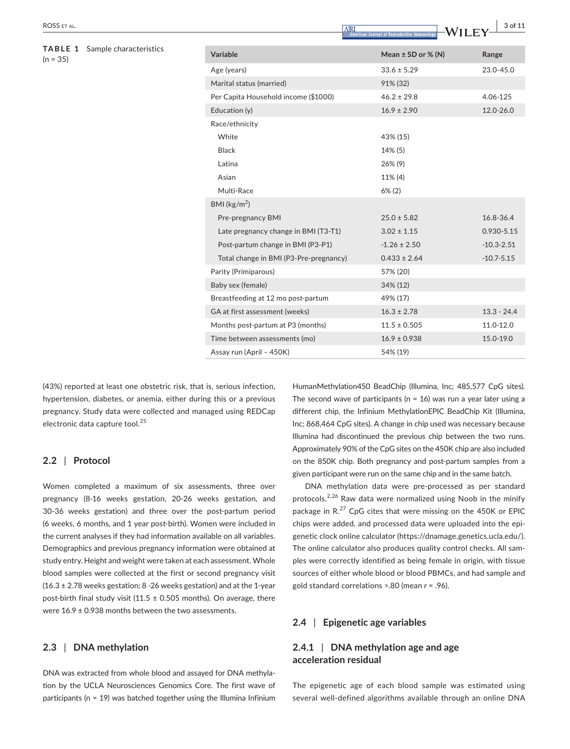#### **TABLE 1** Sample characteristics  $(n = 35)$

|                                        | American Journal of Reproductive Immunology | VVILLI         |
|----------------------------------------|---------------------------------------------|----------------|
| Variable                               | Mean $\pm$ SD or % (N)                      | Range          |
| Age (years)                            | $33.6 \pm 5.29$                             | $23.0 - 45.0$  |
| Marital status (married)               | 91% (32)                                    |                |
| Per Capita Household income (\$1000)   | $46.2 \pm 29.8$                             | 4.06-125       |
| Education (y)                          | $16.9 \pm 2.90$                             | $12.0 - 26.0$  |
| Race/ethnicity                         |                                             |                |
| White                                  | 43% (15)                                    |                |
| <b>Black</b>                           | 14% (5)                                     |                |
| Latina                                 | 26% (9)                                     |                |
| Asian                                  | 11% (4)                                     |                |
| Multi-Race                             | $6\%$ (2)                                   |                |
| BMI ( $\text{kg/m}^2$ )                |                                             |                |
| Pre-pregnancy BMI                      | $25.0 \pm 5.82$                             | 16.8-36.4      |
| Late pregnancy change in BMI (T3-T1)   | $3.02 \pm 1.15$                             | 0.930-5.15     |
| Post-partum change in BMI (P3-P1)      | $-1.26 \pm 2.50$                            | $-10.3 - 2.51$ |
| Total change in BMI (P3-Pre-pregnancy) | $0.433 \pm 2.64$                            | $-10.7 - 5.15$ |
| Parity (Primiparous)                   | 57% (20)                                    |                |
| Baby sex (female)                      | 34% (12)                                    |                |
| Breastfeeding at 12 mo post-partum     | 49% (17)                                    |                |
| GA at first assessment (weeks)         | $16.3 \pm 2.78$                             | $13.3 - 24.4$  |
| Months post-partum at P3 (months)      | $11.5 \pm 0.505$                            | 11.0-12.0      |
| Time between assessments (mo)          | $16.9 \pm 0.938$                            | 15.0-19.0      |
| Assay run (April - 450K)               | 54% (19)                                    |                |

(43%) reported at least one obstetric risk, that is, serious infection, hypertension, diabetes, or anemia, either during this or a previous pregnancy. Study data were collected and managed using REDCap electronic data capture tool.<sup>25</sup>

#### **2.2** | **Protocol**

Women completed a maximum of six assessments, three over pregnancy (8-16 weeks gestation, 20-26 weeks gestation, and 30-36 weeks gestation) and three over the post-partum period (6 weeks, 6 months, and 1 year post-birth). Women were included in the current analyses if they had information available on all variables. Demographics and previous pregnancy information were obtained at study entry. Height and weight were taken at each assessment. Whole blood samples were collected at the first or second pregnancy visit  $(16.3 \pm 2.78$  weeks gestation; 8 -26 weeks gestation) and at the 1-year post-birth final study visit (11.5  $\pm$  0.505 months). On average, there were  $16.9 \pm 0.938$  months between the two assessments.

# **2.3** | **DNA methylation**

DNA was extracted from whole blood and assayed for DNA methylation by the UCLA Neurosciences Genomics Core. The first wave of participants (n = 19) was batched together using the Illumina Infinium HumanMethylation450 BeadChip (Illumina, Inc; 485,577 CpG sites). The second wave of participants ( $n = 16$ ) was run a year later using a different chip, the Infinium MethylationEPIC BeadChip Kit (Illumina, Inc; 868,464 CpG sites). A change in chip used was necessary because Illumina had discontinued the previous chip between the two runs. Approximately 90% of the CpG sites on the 450K chip are also included on the 850K chip. Both pregnancy and post-partum samples from a given participant were run on the same chip and in the same batch.

DNA methylation data were pre-processed as per standard protocols.<sup>2,26</sup> Raw data were normalized using Noob in the minify package in R.<sup>27</sup> CpG cites that were missing on the 450K or EPIC chips were added, and processed data were uploaded into the epigenetic clock online calculator [\(https://dnamage.genetics.ucla.edu/\)](https://dnamage.genetics.ucla.edu/). The online calculator also produces quality control checks. All samples were correctly identified as being female in origin, with tissue sources of either whole blood or blood PBMCs, and had sample and gold standard correlations >.80 (mean *r* = .96).

### **2.4** | **Epigenetic age variables**

# **2.4.1** | **DNA methylation age and age acceleration residual**

The epigenetic age of each blood sample was estimated using several well-defined algorithms available through an online DNA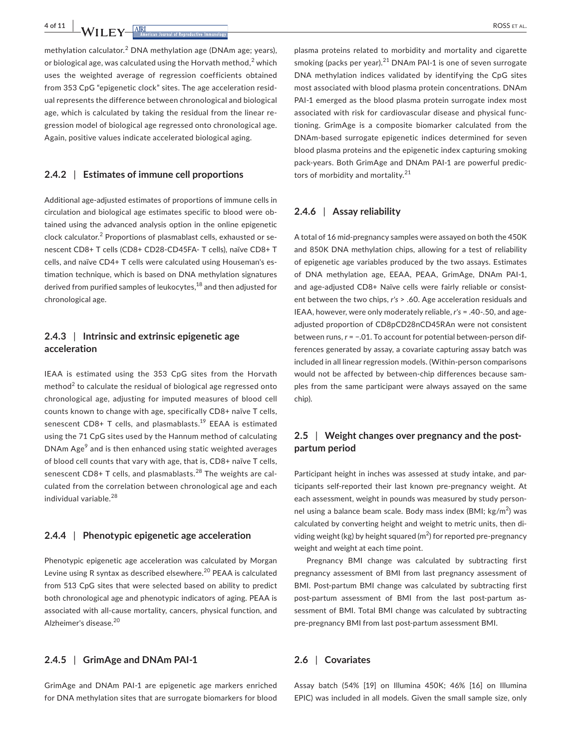**4 of 11 |**  ROSS et al.

methylation calculator.<sup>2</sup> DNA methylation age (DNAm age: years). or biological age, was calculated using the Horvath method, $^2$  which uses the weighted average of regression coefficients obtained from 353 CpG "epigenetic clock" sites. The age acceleration residual represents the difference between chronological and biological age, which is calculated by taking the residual from the linear regression model of biological age regressed onto chronological age. Again, positive values indicate accelerated biological aging.

#### **2.4.2** | **Estimates of immune cell proportions**

Additional age-adjusted estimates of proportions of immune cells in circulation and biological age estimates specific to blood were obtained using the advanced analysis option in the online epigenetic clock calculator.<sup>2</sup> Proportions of plasmablast cells, exhausted or senescent CD8+ T cells (CD8+ CD28-CD45FA- T cells), naïve CD8+ T cells, and naïve CD4+ T cells were calculated using Houseman's estimation technique, which is based on DNA methylation signatures derived from purified samples of leukocytes, $^{18}$  and then adjusted for chronological age.

# **2.4.3** | **Intrinsic and extrinsic epigenetic age acceleration**

IEAA is estimated using the 353 CpG sites from the Horvath  $\text{method}^2$  to calculate the residual of biological age regressed onto chronological age, adjusting for imputed measures of blood cell counts known to change with age, specifically CD8+ naïve T cells, senescent CD8+ T cells, and plasmablasts.<sup>19</sup> EEAA is estimated using the 71 CpG sites used by the Hannum method of calculating DNAm Age<sup>9</sup> and is then enhanced using static weighted averages of blood cell counts that vary with age, that is, CD8+ naïve T cells, senescent CD8+ T cells, and plasmablasts.<sup>28</sup> The weights are calculated from the correlation between chronological age and each individual variable.<sup>28</sup>

# **2.4.4** | **Phenotypic epigenetic age acceleration**

Phenotypic epigenetic age acceleration was calculated by Morgan Levine using R syntax as described elsewhere.<sup>20</sup> PEAA is calculated from 513 CpG sites that were selected based on ability to predict both chronological age and phenotypic indicators of aging. PEAA is associated with all-cause mortality, cancers, physical function, and Alzheimer's disease.<sup>20</sup>

### **2.4.5** | **GrimAge and DNAm PAI-1**

GrimAge and DNAm PAI-1 are epigenetic age markers enriched for DNA methylation sites that are surrogate biomarkers for blood plasma proteins related to morbidity and mortality and cigarette smoking (packs per year). $21$  DNAm PAI-1 is one of seven surrogate DNA methylation indices validated by identifying the CpG sites most associated with blood plasma protein concentrations. DNAm PAI-1 emerged as the blood plasma protein surrogate index most associated with risk for cardiovascular disease and physical functioning. GrimAge is a composite biomarker calculated from the DNAm-based surrogate epigenetic indices determined for seven blood plasma proteins and the epigenetic index capturing smoking pack-years. Both GrimAge and DNAm PAI-1 are powerful predictors of morbidity and mortality.<sup>21</sup>

#### **2.4.6** | **Assay reliability**

A total of 16 mid-pregnancy samples were assayed on both the 450K and 850K DNA methylation chips, allowing for a test of reliability of epigenetic age variables produced by the two assays. Estimates of DNA methylation age, EEAA, PEAA, GrimAge, DNAm PAI-1, and age-adjusted CD8+ Naïve cells were fairly reliable or consistent between the two chips, *r's* > .60. Age acceleration residuals and IEAA, however, were only moderately reliable, *r's* = .40-.50, and ageadjusted proportion of CD8pCD28nCD45RAn were not consistent between runs, *r* = −.01. To account for potential between-person differences generated by assay, a covariate capturing assay batch was included in all linear regression models. (Within-person comparisons would not be affected by between-chip differences because samples from the same participant were always assayed on the same chip).

# **2.5** | **Weight changes over pregnancy and the postpartum period**

Participant height in inches was assessed at study intake, and participants self-reported their last known pre-pregnancy weight. At each assessment, weight in pounds was measured by study personnel using a balance beam scale. Body mass index (BMI; kg/m $^2$ ) was calculated by converting height and weight to metric units, then dividing weight (kg) by height squared (m<sup>2</sup>) for reported pre-pregnancy weight and weight at each time point.

Pregnancy BMI change was calculated by subtracting first pregnancy assessment of BMI from last pregnancy assessment of BMI. Post-partum BMI change was calculated by subtracting first post-partum assessment of BMI from the last post-partum assessment of BMI. Total BMI change was calculated by subtracting pre-pregnancy BMI from last post-partum assessment BMI.

### **2.6** | **Covariates**

Assay batch (54% [19] on Illumina 450K; 46% [16] on Illumina EPIC) was included in all models. Given the small sample size, only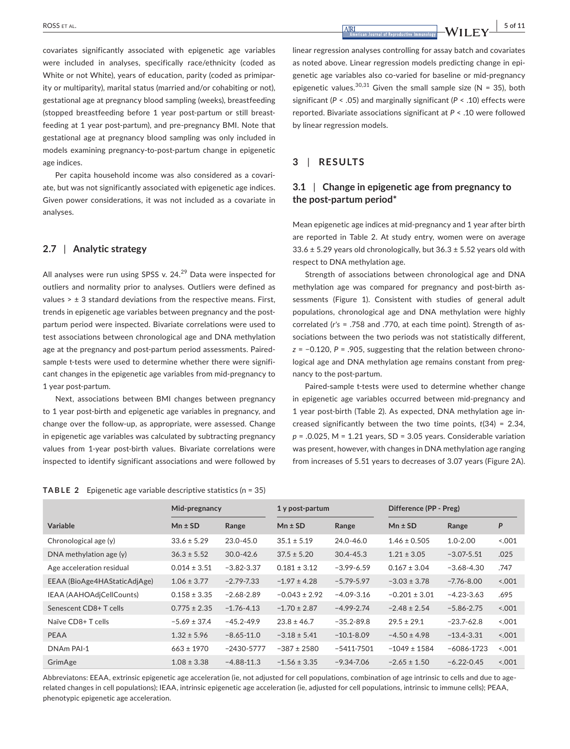**|** ROSS et al. **5 of 11**

covariates significantly associated with epigenetic age variables were included in analyses, specifically race/ethnicity (coded as White or not White), years of education, parity (coded as primiparity or multiparity), marital status (married and/or cohabiting or not), gestational age at pregnancy blood sampling (weeks), breastfeeding (stopped breastfeeding before 1 year post-partum or still breastfeeding at 1 year post-partum), and pre-pregnancy BMI. Note that gestational age at pregnancy blood sampling was only included in models examining pregnancy-to-post-partum change in epigenetic age indices.

Per capita household income was also considered as a covariate, but was not significantly associated with epigenetic age indices. Given power considerations, it was not included as a covariate in analyses.

#### **2.7** | **Analytic strategy**

All analyses were run using SPSS v.  $24.<sup>29</sup>$  Data were inspected for outliers and normality prior to analyses. Outliers were defined as values  $> \pm 3$  standard deviations from the respective means. First, trends in epigenetic age variables between pregnancy and the postpartum period were inspected. Bivariate correlations were used to test associations between chronological age and DNA methylation age at the pregnancy and post-partum period assessments. Pairedsample t-tests were used to determine whether there were significant changes in the epigenetic age variables from mid-pregnancy to 1 year post-partum.

Next, associations between BMI changes between pregnancy to 1 year post-birth and epigenetic age variables in pregnancy, and change over the follow-up, as appropriate, were assessed. Change in epigenetic age variables was calculated by subtracting pregnancy values from 1-year post-birth values. Bivariate correlations were inspected to identify significant associations and were followed by

|  |  | <b>TABLE 2</b> Epigenetic age variable descriptive statistics ( $n = 35$ ) |  |
|--|--|----------------------------------------------------------------------------|--|
|--|--|----------------------------------------------------------------------------|--|

linear regression analyses controlling for assay batch and covariates as noted above. Linear regression models predicting change in epigenetic age variables also co-varied for baseline or mid-pregnancy epigenetic values.<sup>30,31</sup> Given the small sample size (N = 35), both significant (*P* < .05) and marginally significant (*P* < .10) effects were reported. Bivariate associations significant at *P* < .10 were followed by linear regression models.

# **3** | **RESULTS**

# **3.1** | **Change in epigenetic age from pregnancy to the post-partum period\***

Mean epigenetic age indices at mid-pregnancy and 1 year after birth are reported in Table 2. At study entry, women were on average  $33.6 \pm 5.29$  years old chronologically, but  $36.3 \pm 5.52$  years old with respect to DNA methylation age.

Strength of associations between chronological age and DNA methylation age was compared for pregnancy and post-birth assessments (Figure 1). Consistent with studies of general adult populations, chronological age and DNA methylation were highly correlated (*r's* = .758 and .770, at each time point). Strength of associations between the two periods was not statistically different, *z* = −0.120, *P* = .905, suggesting that the relation between chronological age and DNA methylation age remains constant from pregnancy to the post-partum.

Paired-sample t-tests were used to determine whether change in epigenetic age variables occurred between mid-pregnancy and 1 year post-birth (Table 2). As expected, DNA methylation age increased significantly between the two time points, *t*(34) = 2.34, *p* = .0.025, M = 1.21 years, SD = 3.05 years. Considerable variation was present, however, with changes in DNA methylation age ranging from increases of 5.51 years to decreases of 3.07 years (Figure 2A).

|                              | Mid-pregnancy    |                | 1 y post-partum   |                | Difference (PP - Preg) |                |        |
|------------------------------|------------------|----------------|-------------------|----------------|------------------------|----------------|--------|
| <b>Variable</b>              | $Mn \pm SD$      | Range          | $Mn \pm SD$       | Range          | $Mn \pm SD$            | Range          | P      |
| Chronological age (y)        | $33.6 \pm 5.29$  | 23.0-45.0      | $35.1 \pm 5.19$   | 24.0-46.0      | $1.46 \pm 0.505$       | $1.0 - 2.00$   | 001    |
| DNA methylation age $(y)$    | $36.3 \pm 5.52$  | $30.0 - 42.6$  | $37.5 \pm 5.20$   | $30.4 - 45.3$  | $1.21 \pm 3.05$        | $-3.07 - 5.51$ | .025   |
| Age acceleration residual    | $0.014 \pm 3.51$ | $-3.82 - 3.37$ | $0.181 \pm 3.12$  | $-3.99 - 6.59$ | $0.167 \pm 3.04$       | $-3.68 - 4.30$ | .747   |
| EEAA (BioAge4HAStaticAdjAge) | $1.06 \pm 3.77$  | $-2.79 - 7.33$ | $-1.97 \pm 4.28$  | $-5.79 - 5.97$ | $-3.03 \pm 3.78$       | $-7.76 - 8.00$ | 0.001  |
| IEAA (AAHOAdjCellCounts)     | $0.158 \pm 3.35$ | $-2.68 - 2.89$ | $-0.043 \pm 2.92$ | $-4.09 - 3.16$ | $-0.201 \pm 3.01$      | $-4.23 - 3.63$ | .695   |
| Senescent CD8+T cells        | $0.775 \pm 2.35$ | $-1.76 - 4.13$ | $-1.70 \pm 2.87$  | $-4.99 - 2.74$ | $-2.48 \pm 2.54$       | $-5.86 - 2.75$ | 0.001  |
| Naïve CD8+ T cells           | $-5.69 \pm 37.4$ | $-45.2 - 49.9$ | $23.8 \pm 46.7$   | $-35.2 - 89.8$ | $29.5 \pm 29.1$        | $-23.7 - 62.8$ | 0.001  |
| PEAA                         | $1.32 \pm 5.96$  | $-8.65 - 11.0$ | $-3.18 \pm 5.41$  | $-10.1 - 8.09$ | $-4.50 \pm 4.98$       | $-13.4 - 3.31$ | 0.001  |
| DNAm PAI-1                   | $663 \pm 1970$   | $-2430 - 5777$ | $-387 \pm 2580$   | $-5411 - 7501$ | $-1049 \pm 1584$       | $-6086 - 1723$ | < 0.01 |
| GrimAge                      | $1.08 \pm 3.38$  | $-4.88 - 11.3$ | $-1.56 \pm 3.35$  | $-9.34 - 7.06$ | $-2.65 \pm 1.50$       | $-6.22 - 0.45$ | 0.001  |

Abbreviatons: EEAA, extrinsic epigenetic age acceleration (ie, not adjusted for cell populations, combination of age intrinsic to cells and due to agerelated changes in cell populations); IEAA, intrinsic epigenetic age acceleration (ie, adjusted for cell populations, intrinsic to immune cells); PEAA, phenotypic epigenetic age acceleration.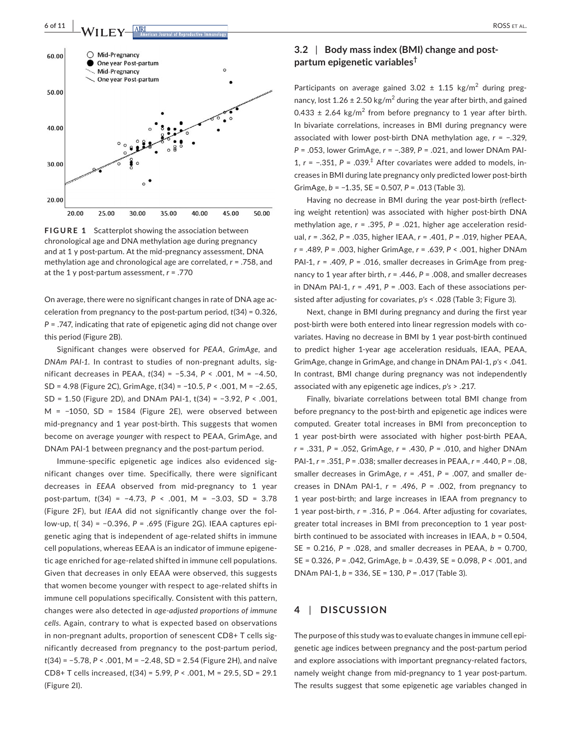

**FIGURE 1** Scatterplot showing the association between chronological age and DNA methylation age during pregnancy and at 1 y post-partum. At the mid-pregnancy assessment, DNA methylation age and chronological age are correlated, *r* = .758, and at the 1 y post-partum assessment, *r* = .770

On average, there were no significant changes in rate of DNA age acceleration from pregnancy to the post-partum period, *t*(34) = 0.326, *P* = .747, indicating that rate of epigenetic aging did not change over this period (Figure 2B).

Significant changes were observed for *PEAA*, *GrimAge,* and *DNAm PAI-1.* In contrast to studies of non-pregnant adults, significant decreases in PEAA, *t*(34) = −5.34, *P* < .001, M = −4.50, SD = 4.98 (Figure 2C), GrimAge, *t*(34) = −10.5, *P* < .001, M = −2.65, SD = 1.50 (Figure 2D), and DNAm PAI-1, t(34) = −3.92, *P* < .001, M = −1050, SD = 1584 (Figure 2E), were observed between mid-pregnancy and 1 year post-birth. This suggests that women become on average *younger* with respect to PEAA, GrimAge, and DNAm PAI-1 between pregnancy and the post-partum period.

Immune-specific epigenetic age indices also evidenced significant changes over time. Specifically, there were significant decreases in *EEAA* observed from mid-pregnancy to 1 year post-partum, *t*(34) = −4.73, *P* < .001, M = −3.03, SD = 3.78 (Figure 2F), but *IEAA* did not significantly change over the follow-up, *t*( 34) = −0.396, *P* = .695 (Figure 2G). IEAA captures epigenetic aging that is independent of age-related shifts in immune cell populations, whereas EEAA is an indicator of immune epigenetic age enriched for age-related shifted in immune cell populations. Given that decreases in only EEAA were observed, this suggests that women become younger with respect to age-related shifts in immune cell populations specifically. Consistent with this pattern, changes were also detected in *age-adjusted proportions of immune cells*. Again, contrary to what is expected based on observations in non-pregnant adults, proportion of senescent CD8+ T cells significantly decreased from pregnancy to the post-partum period, *t*(34) = −5.78, *P* < .001, M = −2.48, SD = 2.54 (Figure 2H), and naïve CD8+ T cells increased, *t*(34) = 5.99, *P* < .001, M = 29.5, SD = 29.1 (Figure 2I).

# **3.2** | **Body mass index (BMI) change and postpartum epigenetic variables†**

Participants on average gained  $3.02 \pm 1.15$  kg/m<sup>2</sup> during pregnancy, lost  $1.26 \pm 2.50$  kg/m<sup>2</sup> during the year after birth, and gained  $0.433 \pm 2.64$  kg/m<sup>2</sup> from before pregnancy to 1 year after birth. In bivariate correlations, increases in BMI during pregnancy were associated with lower post-birth DNA methylation age, *r* = −.329, *P* = .053, lower GrimAge, *r* = −.389, *P* = .021, and lower DNAm PAI-1, *r* = −.351, *P* = .039.‡  After covariates were added to models, increases in BMI during late pregnancy only predicted lower post-birth GrimAge, *b* = −1.35, SE = 0.507, *P* = .013 (Table 3).

Having no decrease in BMI during the year post-birth (reflecting weight retention) was associated with higher post-birth DNA methylation age, *r* = .395, *P* = .021, higher age acceleration residual, *r* = .362, *P* = .035, higher IEAA, *r* = .401, *P* = .019, higher PEAA, *r* = .489, *P* = .003, higher GrimAge, *r* = .639, *P* < .001, higher DNAm PAI-1,  $r = .409$ ,  $P = .016$ , smaller decreases in GrimAge from pregnancy to 1 year after birth, *r* = .446, *P* = .008, and smaller decreases in DNAm PAI-1, *r* = .491, *P* = .003. Each of these associations persisted after adjusting for covariates, *p's* < .028 (Table 3; Figure 3).

Next, change in BMI during pregnancy and during the first year post-birth were both entered into linear regression models with covariates. Having no decrease in BMI by 1 year post-birth continued to predict higher 1-year age acceleration residuals, IEAA, PEAA, GrimAge, change in GrimAge, and change in DNAm PAI-1, *p's* < .041. In contrast, BMI change during pregnancy was not independently associated with any epigenetic age indices, *p's* > .217.

Finally, bivariate correlations between total BMI change from before pregnancy to the post-birth and epigenetic age indices were computed. Greater total increases in BMI from preconception to 1 year post-birth were associated with higher post-birth PEAA, *r* = .331, *P* = .052, GrimAge, *r* = .430, *P* = .010, and higher DNAm PAI-1, *r* = .351, *P* = .038; smaller decreases in PEAA, *r* = .440, *P* = .08, smaller decreases in GrimAge, *r* = .451, *P* = .007, and smaller decreases in DNAm PAI-1, *r* = .496, *P* = .002, from pregnancy to 1 year post-birth; and large increases in IEAA from pregnancy to 1 year post-birth, *r* = .316, *P* = .064. After adjusting for covariates, greater total increases in BMI from preconception to 1 year postbirth continued to be associated with increases in IEAA,  $b = 0.504$ , SE = 0.216, *P* = .028, and smaller decreases in PEAA, *b* = 0.700, SE = 0.326, *P* = .042, GrimAge, *b* = .0.439, SE = 0.098, *P* < .001, and DNAm PAI-1, *b* = 336, SE = 130, *P* = .017 (Table 3).

# **4** | **DISCUSSION**

The purpose of this study was to evaluate changes in immune cell epigenetic age indices between pregnancy and the post-partum period and explore associations with important pregnancy-related factors, namely weight change from mid-pregnancy to 1 year post-partum. The results suggest that some epigenetic age variables changed in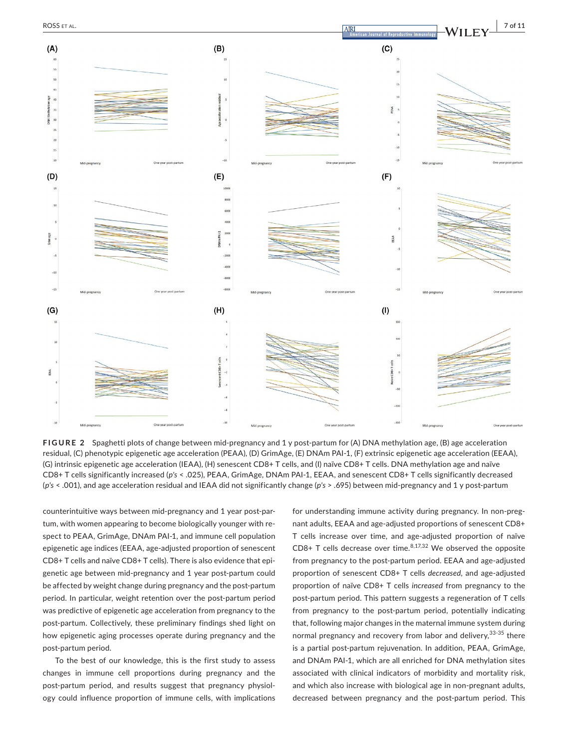

**FIGURE 2** Spaghetti plots of change between mid-pregnancy and 1 y post-partum for (A) DNA methylation age, (B) age acceleration residual, (C) phenotypic epigenetic age acceleration (PEAA), (D) GrimAge, (E) DNAm PAI-1, (F) extrinsic epigenetic age acceleration (EEAA), (G) intrinsic epigenetic age acceleration (IEAA), (H) senescent CD8+ T cells, and (I) naïve CD8+ T cells. DNA methylation age and naïve CD8+ T cells significantly increased (*p's* < .025), PEAA, GrimAge, DNAm PAI-1, EEAA, and senescent CD8+ T cells significantly decreased (*p's* < .001), and age acceleration residual and IEAA did not significantly change (*p's* > .695) between mid-pregnancy and 1 y post-partum

counterintuitive ways between mid-pregnancy and 1 year post-partum, with women appearing to become biologically younger with respect to PEAA, GrimAge, DNAm PAI-1, and immune cell population epigenetic age indices (EEAA, age-adjusted proportion of senescent CD8+ T cells and naïve CD8+ T cells). There is also evidence that epigenetic age between mid-pregnancy and 1 year post-partum could be affected by weight change during pregnancy and the post-partum period. In particular, weight retention over the post-partum period was predictive of epigenetic age acceleration from pregnancy to the post-partum. Collectively, these preliminary findings shed light on how epigenetic aging processes operate during pregnancy and the post-partum period.

To the best of our knowledge, this is the first study to assess changes in immune cell proportions during pregnancy and the post-partum period, and results suggest that pregnancy physiology could influence proportion of immune cells, with implications

for understanding immune activity during pregnancy. In non-pregnant adults, EEAA and age-adjusted proportions of senescent CD8+ T cells increase over time, and age-adjusted proportion of naïve  $CD8+$  T cells decrease over time.<sup>8,17,32</sup> We observed the opposite from pregnancy to the post-partum period. EEAA and age-adjusted proportion of senescent CD8+ T cells *decreased*, and age-adjusted proportion of naïve CD8+ T cells *increased* from pregnancy to the post-partum period. This pattern suggests a regeneration of T cells from pregnancy to the post-partum period, potentially indicating that, following major changes in the maternal immune system during normal pregnancy and recovery from labor and delivery, 33-35 there is a partial post-partum rejuvenation. In addition, PEAA, GrimAge, and DNAm PAI-1, which are all enriched for DNA methylation sites associated with clinical indicators of morbidity and mortality risk, and which also increase with biological age in non-pregnant adults, decreased between pregnancy and the post-partum period. This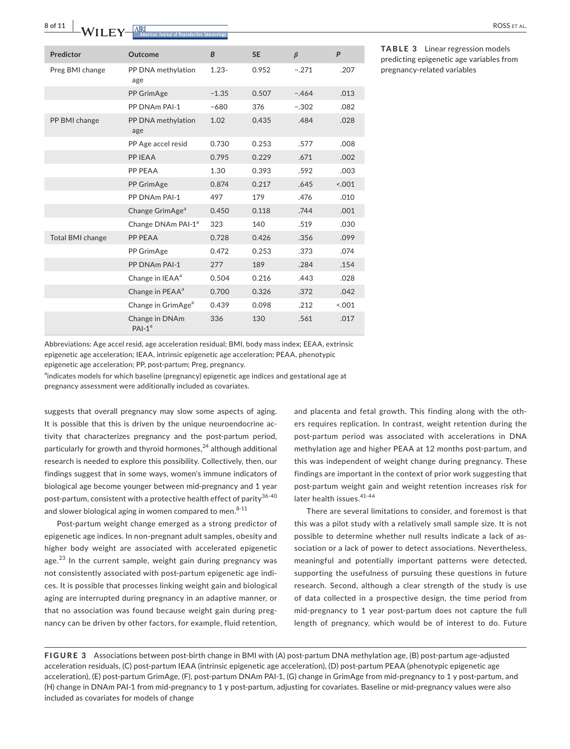**8 of 11 WII FY** ARRIVAL **EX** 

| Predictor               | Outcome                        | B        | <b>SE</b> | $\beta$ | P      |
|-------------------------|--------------------------------|----------|-----------|---------|--------|
| Preg BMI change         | PP DNA methylation<br>age      | $1.23 -$ | 0.952     | $-.271$ | .207   |
|                         | PP GrimAge                     | $-1.35$  | 0.507     | $-.464$ | .013   |
|                         | PP DNAm PAI-1                  | $-680$   | 376       | $-.302$ | .082   |
| PP BMI change           | PP DNA methylation<br>age      | 1.02     | 0.435     | .484    | .028   |
|                         | PP Age accel resid             | 0.730    | 0.253     | .577    | .008   |
|                         | PP IEAA                        | 0.795    | 0.229     | .671    | .002   |
|                         | PP PEAA                        | 1.30     | 0.393     | .592    | .003   |
|                         | PP GrimAge                     | 0.874    | 0.217     | .645    | < 0.01 |
|                         | PP DNAm PAI-1                  | 497      | 179       | .476    | .010   |
|                         | Change GrimAge <sup>a</sup>    | 0.450    | 0.118     | .744    | .001   |
|                         | Change DNAm PAI-1 <sup>a</sup> | 323      | 140       | .519    | .030   |
| <b>Total BMI change</b> | PP PEAA                        | 0.728    | 0.426     | .356    | .099   |
|                         | PP GrimAge                     | 0.472    | 0.253     | .373    | .074   |
|                         | PP DNAm PAI-1                  | 277      | 189       | .284    | .154   |
|                         | Change in IEAA <sup>a</sup>    | 0.504    | 0.216     | .443    | .028   |
|                         | Change in PEAA <sup>a</sup>    | 0.700    | 0.326     | .372    | .042   |
|                         | Change in GrimAge <sup>a</sup> | 0.439    | 0.098     | .212    | < 0.01 |
|                         | Change in DNAm<br>$PAI-1a$     | 336      | 130       | .561    | .017   |

**TABLE 3** Linear regression models predicting epigenetic age variables from pregnancy-related variables

Abbreviations: Age accel resid, age acceleration residual; BMI, body mass index; EEAA, extrinsic epigenetic age acceleration; IEAA, intrinsic epigenetic age acceleration; PEAA, phenotypic epigenetic age acceleration; PP, post-partum; Preg, pregnancy.

<sup>a</sup>indicates models for which baseline (pregnancy) epigenetic age indices and gestational age at

pregnancy assessment were additionally included as covariates.

suggests that overall pregnancy may slow some aspects of aging. It is possible that this is driven by the unique neuroendocrine activity that characterizes pregnancy and the post-partum period, particularly for growth and thyroid hormones,  $24$  although additional research is needed to explore this possibility. Collectively, then, our findings suggest that in some ways, women's immune indicators of biological age become younger between mid-pregnancy and 1 year post-partum, consistent with a protective health effect of parity<sup>36-40</sup> and slower biological aging in women compared to men. $8-11$ 

Post-partum weight change emerged as a strong predictor of epigenetic age indices. In non-pregnant adult samples, obesity and higher body weight are associated with accelerated epigenetic age.<sup>23</sup> In the current sample, weight gain during pregnancy was not consistently associated with post-partum epigenetic age indices. It is possible that processes linking weight gain and biological aging are interrupted during pregnancy in an adaptive manner, or that no association was found because weight gain during pregnancy can be driven by other factors, for example, fluid retention,

and placenta and fetal growth. This finding along with the others requires replication. In contrast, weight retention during the post-partum period was associated with accelerations in DNA methylation age and higher PEAA at 12 months post-partum, and this was independent of weight change during pregnancy. These findings are important in the context of prior work suggesting that post-partum weight gain and weight retention increases risk for later health issues. 41-44

There are several limitations to consider, and foremost is that this was a pilot study with a relatively small sample size. It is not possible to determine whether null results indicate a lack of association or a lack of power to detect associations. Nevertheless, meaningful and potentially important patterns were detected, supporting the usefulness of pursuing these questions in future research. Second, although a clear strength of the study is use of data collected in a prospective design, the time period from mid-pregnancy to 1 year post-partum does not capture the full length of pregnancy, which would be of interest to do. Future

**FIGURE 3** Associations between post-birth change in BMI with (A) post-partum DNA methylation age, (B) post-partum age-adjusted acceleration residuals, (C) post-partum IEAA (intrinsic epigenetic age acceleration), (D) post-partum PEAA (phenotypic epigenetic age acceleration), (E) post-partum GrimAge, (F), post-partum DNAm PAI-1, (G) change in GrimAge from mid-pregnancy to 1 y post-partum, and (H) change in DNAm PAI-1 from mid-pregnancy to 1 y post-partum, adjusting for covariates. Baseline or mid-pregnancy values were also included as covariates for models of change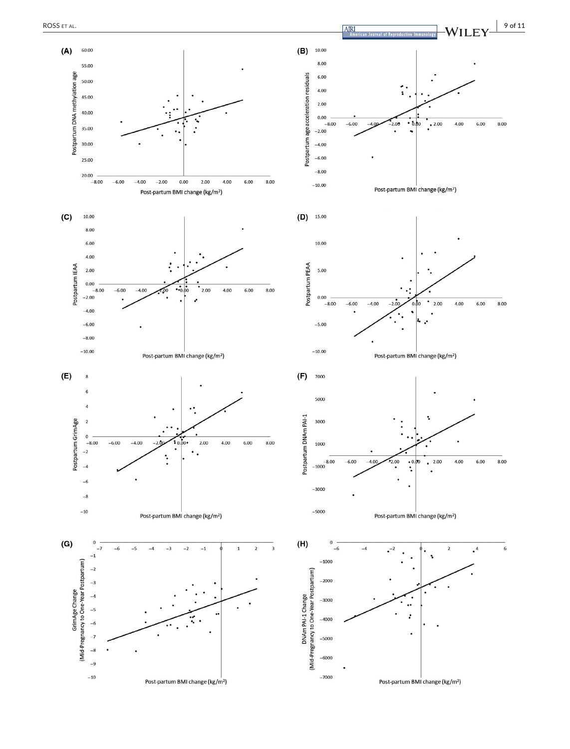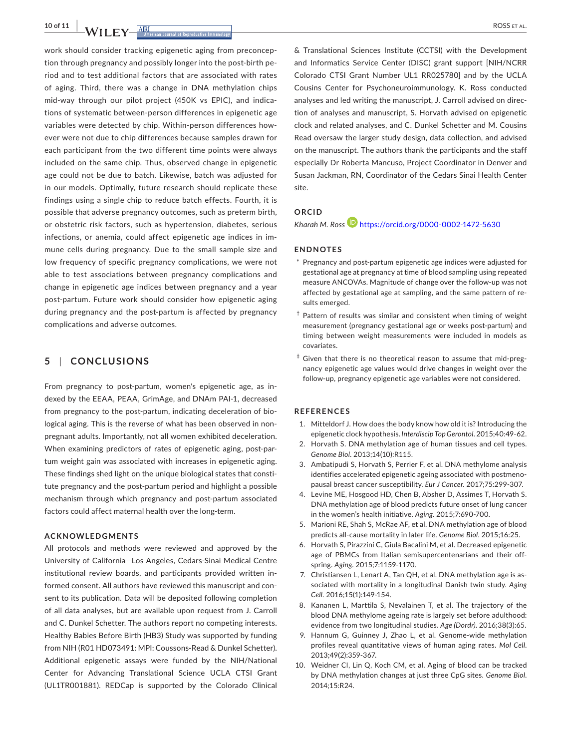**10 of 11 |**  ROSS et al.

work should consider tracking epigenetic aging from preconception through pregnancy and possibly longer into the post-birth period and to test additional factors that are associated with rates of aging. Third, there was a change in DNA methylation chips mid-way through our pilot project (450K vs EPIC), and indications of systematic between-person differences in epigenetic age variables were detected by chip. Within-person differences however were not due to chip differences because samples drawn for each participant from the two different time points were always included on the same chip. Thus, observed change in epigenetic age could not be due to batch. Likewise, batch was adjusted for in our models. Optimally, future research should replicate these findings using a single chip to reduce batch effects. Fourth, it is possible that adverse pregnancy outcomes, such as preterm birth, or obstetric risk factors, such as hypertension, diabetes, serious infections, or anemia, could affect epigenetic age indices in immune cells during pregnancy. Due to the small sample size and low frequency of specific pregnancy complications, we were not able to test associations between pregnancy complications and change in epigenetic age indices between pregnancy and a year post-partum. Future work should consider how epigenetic aging during pregnancy and the post-partum is affected by pregnancy complications and adverse outcomes.

# **5** | **CONCLUSIONS**

From pregnancy to post-partum, women's epigenetic age, as indexed by the EEAA, PEAA, GrimAge, and DNAm PAI-1, decreased from pregnancy to the post-partum, indicating deceleration of biological aging. This is the reverse of what has been observed in nonpregnant adults. Importantly, not all women exhibited deceleration. When examining predictors of rates of epigenetic aging, post-partum weight gain was associated with increases in epigenetic aging. These findings shed light on the unique biological states that constitute pregnancy and the post-partum period and highlight a possible mechanism through which pregnancy and post-partum associated factors could affect maternal health over the long-term.

#### **ACKNOWLEDGMENTS**

All protocols and methods were reviewed and approved by the University of California—Los Angeles, Cedars-Sinai Medical Centre institutional review boards, and participants provided written informed consent. All authors have reviewed this manuscript and consent to its publication. Data will be deposited following completion of all data analyses, but are available upon request from J. Carroll and C. Dunkel Schetter. The authors report no competing interests. Healthy Babies Before Birth (HB3) Study was supported by funding from NIH (R01 HD073491: MPI: Coussons-Read & Dunkel Schetter). Additional epigenetic assays were funded by the NIH/National Center for Advancing Translational Science UCLA CTSI Grant (UL1TR001881). REDCap is supported by the Colorado Clinical

& Translational Sciences Institute (CCTSI) with the Development and Informatics Service Center (DISC) grant support [NIH/NCRR Colorado CTSI Grant Number UL1 RR025780] and by the UCLA Cousins Center for Psychoneuroimmunology. K. Ross conducted analyses and led writing the manuscript, J. Carroll advised on direction of analyses and manuscript, S. Horvath advised on epigenetic clock and related analyses, and C. Dunkel Schetter and M. Cousins Read oversaw the larger study design, data collection, and advised on the manuscript. The authors thank the participants and the staff especially Dr Roberta Mancuso, Project Coordinator in Denver and Susan Jackman, RN, Coordinator of the Cedars Sinai Health Center site.

# **ORCID**

*Kharah M. Ross* <https://orcid.org/0000-0002-1472-5630>

#### **ENDNOTES**

- \* Pregnancy and post-partum epigenetic age indices were adjusted for gestational age at pregnancy at time of blood sampling using repeated measure ANCOVAs. Magnitude of change over the follow-up was not affected by gestational age at sampling, and the same pattern of results emerged.
- <sup>†</sup> Pattern of results was similar and consistent when timing of weight measurement (pregnancy gestational age or weeks post-partum) and timing between weight measurements were included in models as covariates.
- ‡ Given that there is no theoretical reason to assume that mid-pregnancy epigenetic age values would drive changes in weight over the follow-up, pregnancy epigenetic age variables were not considered.

#### **REFERENCES**

- 1. Mitteldorf J. How does the body know how old it is? Introducing the epigenetic clock hypothesis. *Interdiscip Top Gerontol*. 2015;40:49-62.
- 2. Horvath S. DNA methylation age of human tissues and cell types. *Genome Biol*. 2013;14(10):R115.
- 3. Ambatipudi S, Horvath S, Perrier F, et al. DNA methylome analysis identifies accelerated epigenetic ageing associated with postmenopausal breast cancer susceptibility. *Eur J Cancer*. 2017;75:299-307.
- 4. Levine ME, Hosgood HD, Chen B, Absher D, Assimes T, Horvath S. DNA methylation age of blood predicts future onset of lung cancer in the women's health initiative. *Aging*. 2015;7:690-700.
- 5. Marioni RE, Shah S, McRae AF, et al. DNA methylation age of blood predicts all-cause mortality in later life. *Genome Biol*. 2015;16:25.
- 6. Horvath S, Pirazzini C, Giula Bacalini M, et al. Decreased epigenetic age of PBMCs from Italian semisupercentenarians and their offspring. *Aging*. 2015;7:1159-1170.
- 7. Christiansen L, Lenart A, Tan QH, et al. DNA methylation age is associated with mortality in a longitudinal Danish twin study. *Aging Cell*. 2016;15(1):149-154.
- 8. Kananen L, Marttila S, Nevalainen T, et al. The trajectory of the blood DNA methylome ageing rate is largely set before adulthood: evidence from two longitudinal studies. *Age (Dordr)*. 2016;38(3):65.
- 9. Hannum G, Guinney J, Zhao L, et al. Genome-wide methylation profiles reveal quantitative views of human aging rates. *Mol Cell*. 2013;49(2):359-367.
- 10. Weidner CI, Lin Q, Koch CM, et al. Aging of blood can be tracked by DNA methylation changes at just three CpG sites. *Genome Biol*. 2014;15:R24.